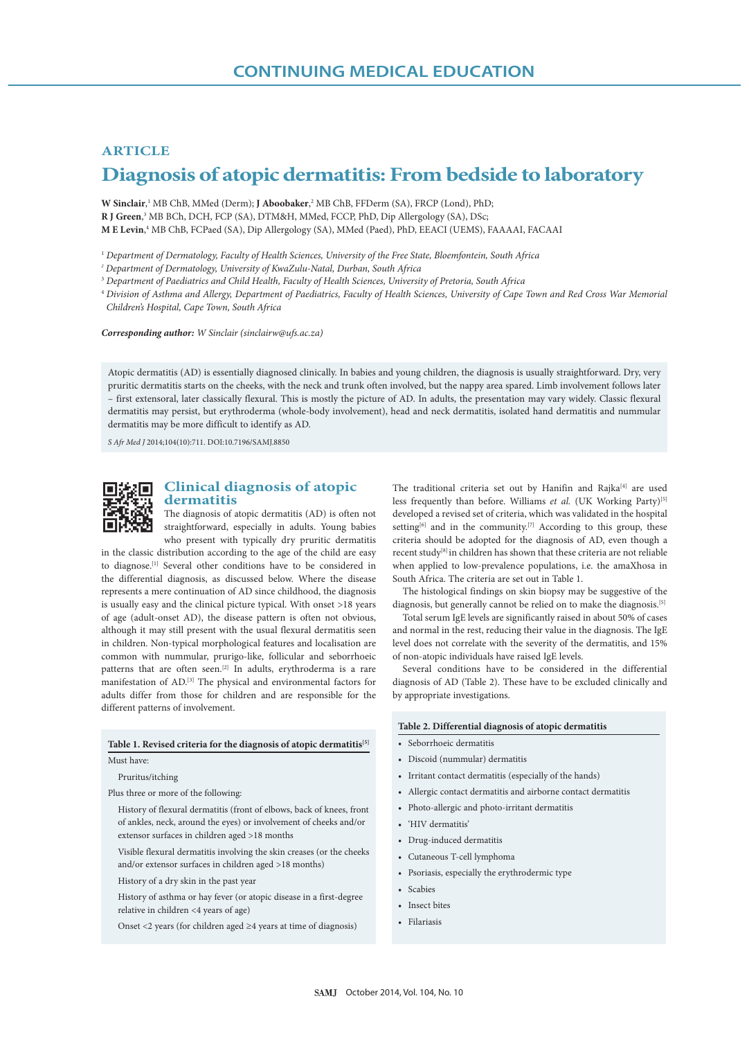# **ARTICLE**

# **Diagnosis of atopic dermatitis: From bedside to laboratory**

W Sinclair,<sup>1</sup> MB ChB, MMed (Derm); **J Aboobaker**,<sup>2</sup> MB ChB, FFDerm (SA), FRCP (Lond), PhD; **R J Green**, 3 MB BCh, DCH, FCP (SA), DTM&H, MMed, FCCP, PhD, Dip Allergology (SA), DSc; **M E Levin**, 4 MB ChB, FCPaed (SA), Dip Allergology (SA), MMed (Paed), PhD, EEACI (UEMS), FAAAAI, FACAAI

<sup>1</sup> *Department of Dermatology, Faculty of Health Sciences, University of the Free State, Bloemfontein, South Africa*

*2 Department of Dermatology, University of KwaZulu-Natal, Durban, South Africa*

<sup>3</sup> *Department of Paediatrics and Child Health, Faculty of Health Sciences, University of Pretoria, South Africa*

<sup>4</sup> *Division of Asthma and Allergy, Department of Paediatrics, Faculty of Health Sciences, University of Cape Town and Red Cross War Memorial Children's Hospital, Cape Town, South Africa*

*Corresponding author: W Sinclair (sinclairw@ufs.ac.za)*

Atopic dermatitis (AD) is essentially diagnosed clinically. In babies and young children, the diagnosis is usually straightforward. Dry, very pruritic dermatitis starts on the cheeks, with the neck and trunk often involved, but the nappy area spared. Limb involvement follows later – first extensoral, later classically flexural. This is mostly the picture of AD. In adults, the presentation may vary widely. Classic flexural dermatitis may persist, but erythroderma (whole-body involvement), head and neck dermatitis, isolated hand dermatitis and nummular dermatitis may be more difficult to identify as AD.

*S Afr Med J* 2014;104(10):711. DOI:10.7196/SAMJ.8850



## **Clinical diagnosis of atopic dermatitis**

The diagnosis of atopic dermatitis (AD) is often not straightforward, especially in adults. Young babies who present with typically dry pruritic dermatitis

in the classic distribution according to the age of the child are easy to diagnose.[1] Several other conditions have to be considered in the differential diagnosis, as discussed below. Where the disease represents a mere continuation of AD since childhood, the diagnosis is usually easy and the clinical picture typical. With onset >18 years of age (adult-onset AD), the disease pattern is often not obvious, although it may still present with the usual flexural dermatitis seen in children. Non-typical morphological features and localisation are common with nummular, prurigo-like, follicular and seborrhoeic patterns that are often seen.<sup>[2]</sup> In adults, erythroderma is a rare manifestation of AD.[3] The physical and environmental factors for adults differ from those for children and are responsible for the different patterns of involvement.

#### Table 1. Revised criteria for the diagnosis of atopic dermatitis<sup>[5]</sup>

Must have:

Pruritus/itching

Plus three or more of the following:

History of flexural dermatitis (front of elbows, back of knees, front of ankles, neck, around the eyes) or involvement of cheeks and/or extensor surfaces in children aged >18 months

Visible flexural dermatitis involving the skin creases (or the cheeks and/or extensor surfaces in children aged >18 months)

History of a dry skin in the past year

History of asthma or hay fever (or atopic disease in a first-degree relative in children <4 years of age)

Onset <2 years (for children aged ≥4 years at time of diagnosis)

The traditional criteria set out by Hanifin and Rajka<sup>[4]</sup> are used less frequently than before. Williams *et al.* (UK Working Party)<sup>[5]</sup> developed a revised set of criteria, which was validated in the hospital setting<sup>[6]</sup> and in the community.<sup>[7]</sup> According to this group, these criteria should be adopted for the diagnosis of AD, even though a recent study<sup>[8]</sup> in children has shown that these criteria are not reliable when applied to low-prevalence populations, i.e. the amaXhosa in South Africa. The criteria are set out in Table 1.

The histological findings on skin biopsy may be suggestive of the diagnosis, but generally cannot be relied on to make the diagnosis.[5]

Total serum IgE levels are significantly raised in about 50% of cases and normal in the rest, reducing their value in the diagnosis. The IgE level does not correlate with the severity of the dermatitis, and 15% of non-atopic individuals have raised IgE levels.

Several conditions have to be considered in the differential diagnosis of AD (Table 2). These have to be excluded clinically and by appropriate investigations.

#### **Table 2. Differential diagnosis of atopic dermatitis**

- Seborrhoeic dermatitis
- Discoid (nummular) dermatitis
- Irritant contact dermatitis (especially of the hands)
- Allergic contact dermatitis and airborne contact dermatitis
- Photo-allergic and photo-irritant dermatitis
- 'HIV dermatitis'
- Drug-induced dermatitis
- Cutaneous T-cell lymphoma
- Psoriasis, especially the erythrodermic type
- Scabies
- Insect bites
- Filariasis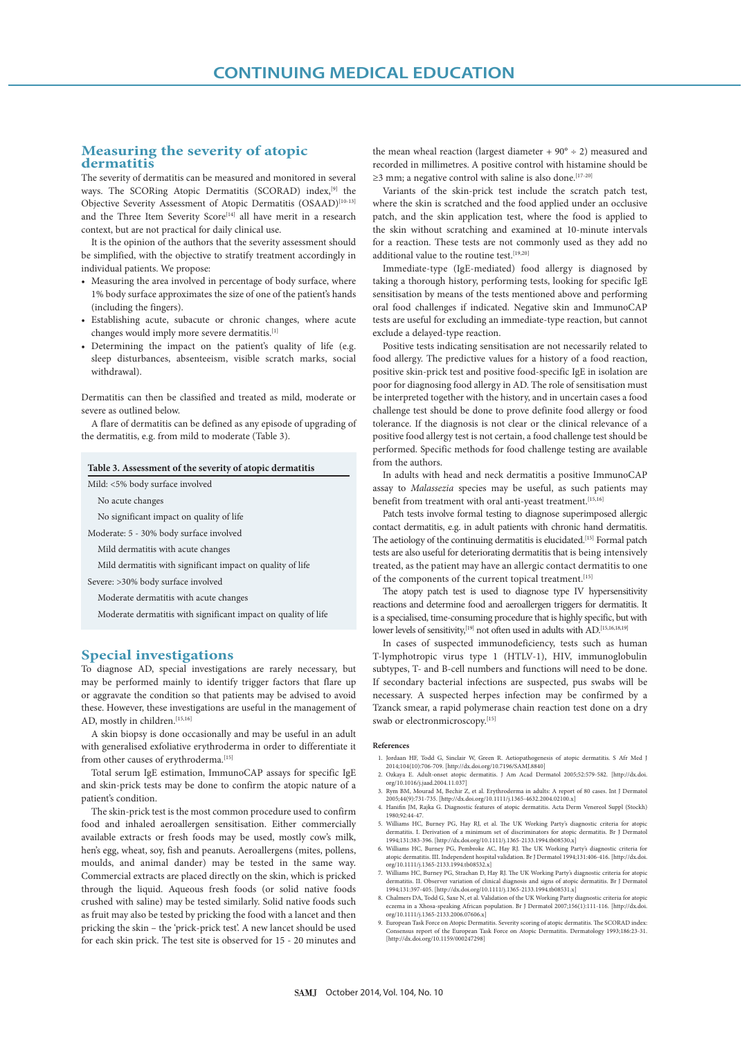# **Measuring the severity of atopic dermatitis**

The severity of dermatitis can be measured and monitored in several ways. The SCORing Atopic Dermatitis (SCORAD) index,[9] the Objective Severity Assessment of Atopic Dermatitis (OSAAD)<sup>[10-13]</sup> and the Three Item Severity Score<sup>[14]</sup> all have merit in a research context, but are not practical for daily clinical use.

It is the opinion of the authors that the severity assessment should be simplified, with the objective to stratify treatment accordingly in individual patients. We propose:

- Measuring the area involved in percentage of body surface, where 1% body surface approximates the size of one of the patient's hands (including the fingers).
- Establishing acute, subacute or chronic changes, where acute changes would imply more severe dermatitis.[1]
- Determining the impact on the patient's quality of life (e.g. sleep disturbances, absenteeism, visible scratch marks, social withdrawal).

Dermatitis can then be classified and treated as mild, moderate or severe as outlined below.

A flare of dermatitis can be defined as any episode of upgrading of the dermatitis, e.g. from mild to moderate (Table 3).

### **Table 3. Assessment of the severity of atopic dermatitis**

Mild: <5% body surface involved

No acute changes

No significant impact on quality of life

Moderate: 5 - 30% body surface involved

Mild dermatitis with acute changes

Mild dermatitis with significant impact on quality of life

Severe: >30% body surface involved

Moderate dermatitis with acute changes

Moderate dermatitis with significant impact on quality of life

## **Special investigations**

To diagnose AD, special investigations are rarely necessary, but may be performed mainly to identify trigger factors that flare up or aggravate the condition so that patients may be advised to avoid these. However, these investigations are useful in the management of AD, mostly in children.<sup>[15,16]</sup>

A skin biopsy is done occasionally and may be useful in an adult with generalised exfoliative erythroderma in order to differentiate it from other causes of erythroderma.[15]

Total serum IgE estimation, ImmunoCAP assays for specific IgE and skin-prick tests may be done to confirm the atopic nature of a patient's condition.

The skin-prick test is the most common procedure used to confirm food and inhaled aeroallergen sensitisation. Either commercially available extracts or fresh foods may be used, mostly cow's milk, hen's egg, wheat, soy, fish and peanuts. Aeroallergens (mites, pollens, moulds, and animal dander) may be tested in the same way. Commercial extracts are placed directly on the skin, which is pricked through the liquid. Aqueous fresh foods (or solid native foods crushed with saline) may be tested similarly. Solid native foods such as fruit may also be tested by pricking the food with a lancet and then pricking the skin – the 'prick-prick test'. A new lancet should be used for each skin prick. The test site is observed for 15 - 20 minutes and

the mean wheal reaction (largest diameter  $+90^{\circ} \div 2$ ) measured and recorded in millimetres. A positive control with histamine should be  $\geq$ 3 mm; a negative control with saline is also done.<sup>[17-20]</sup>

Variants of the skin-prick test include the scratch patch test, where the skin is scratched and the food applied under an occlusive patch, and the skin application test, where the food is applied to the skin without scratching and examined at 10-minute intervals for a reaction. These tests are not commonly used as they add no additional value to the routine test.<sup>[19,20]</sup>

Immediate-type (IgE-mediated) food allergy is diagnosed by taking a thorough history, performing tests, looking for specific IgE sensitisation by means of the tests mentioned above and performing oral food challenges if indicated. Negative skin and ImmunoCAP tests are useful for excluding an immediate-type reaction, but cannot exclude a delayed-type reaction.

Positive tests indicating sensitisation are not necessarily related to food allergy. The predictive values for a history of a food reaction, positive skin-prick test and positive food-specific IgE in isolation are poor for diagnosing food allergy in AD. The role of sensitisation must be interpreted together with the history, and in uncertain cases a food challenge test should be done to prove definite food allergy or food tolerance. If the diagnosis is not clear or the clinical relevance of a positive food allergy test is not certain, a food challenge test should be performed. Specific methods for food challenge testing are available from the authors.

In adults with head and neck dermatitis a positive ImmunoCAP assay to *Malassezia* species may be useful, as such patients may benefit from treatment with oral anti-yeast treatment.<sup>[15,16]</sup>

Patch tests involve formal testing to diagnose superimposed allergic contact dermatitis, e.g. in adult patients with chronic hand dermatitis. The aetiology of the continuing dermatitis is elucidated.<sup>[15]</sup> Formal patch tests are also useful for deteriorating dermatitis that is being intensively treated, as the patient may have an allergic contact dermatitis to one of the components of the current topical treatment.<sup>[15]</sup>

The atopy patch test is used to diagnose type IV hypersensitivity reactions and determine food and aeroallergen triggers for dermatitis. It is a specialised, time-consuming procedure that is highly specific, but with lower levels of sensitivity,<sup>[19]</sup> not often used in adults with AD.<sup>[15,16,18,19]</sup>

In cases of suspected immunodeficiency, tests such as human T-lymphotropic virus type 1 (HTLV-1), HIV, immunoglobulin subtypes, T- and B-cell numbers and functions will need to be done. If secondary bacterial infections are suspected, pus swabs will be necessary. A suspected herpes infection may be confirmed by a Tzanck smear, a rapid polymerase chain reaction test done on a dry swab or electronmicroscopy.[15]

#### **References**

- 1. Jordaan HF, Todd G, Sinclair W, Green R. Aetiopathogenesis of atopic dermatitis. S Afr Med J 2014;104(10):706-709. [http://dx.doi.org/10.7196/SAMJ.8840]
- 2. Ozkaya E. Adult-onset atopic dermatitis. J Am Acad Dermatol 2005;52:579-582. [http://dx.doi. org/10.1016/j.jaad.2004.11.037]
- 3. Rym BM, Mourad M, Bechir Z, et al. Erythroderma in adults: A report of 80 cases. Int J Dermatol 2005;44(9):731-735. [http://dx.doi.org/10.1111/j.1365-4632.2004.02100.x]
- 4. Hanifin JM, Rajka G. Diagnostic features of atopic dermatitis. Acta Derm Venereol Suppl (Stockh) 1980;92:44-47.
- 5. Williams HC, Burney PG, Hay RJ, et al. The UK Working Party's diagnostic criteria for atopic dermatitis. I. Derivation of a minimum set of discriminators for atopic dermatitis. Br J Derma 1994;131:383-396. [http://dx.doi.org/10.1111/j.1365-2133.1994.tb08530.x] 6. Williams HC, Burney PG, Pembroke AC, Hay RJ. The UK Working Party's diagnostic criteria for
- atopic dermatitis. III. Independent hospital validation. Br J Dermatol 1994;131:406-416. [http://dx.doi.<br>org/10.1111/j.1365-2133.1994.tb08532.x]<br>7. Williams HC, Burney PG, Strachan D, Hay RJ. The UK Working Party's diagno
- dermatitis. II. Observer variation of clinical diagnosis and signs of atopic dermatitis. Br J Dermatol<br>1994;131:397-405. [http://dx.doi.org/10.1111/j.1365-2133.1994.tb08531.x]<br>8. Chalmers DA, Todd G, Saxe N, et al. Validat
- eczema in a Xhosa-speaking African population. Br J Dermatol 2007;156(1):111-116. [http://dx.doi. org/10.1111/j.1365-2133.2006.07606.x]
- 9. European Task Force on Atopic Dermatitis. Severity scoring of atopic dermatitis. The SCORAD index:<br>Consensus report of the European Task Force on Atopic Dermatitis. Dermatology 1993;186:23-31.<br>[http://dx.doi.org/10.1159